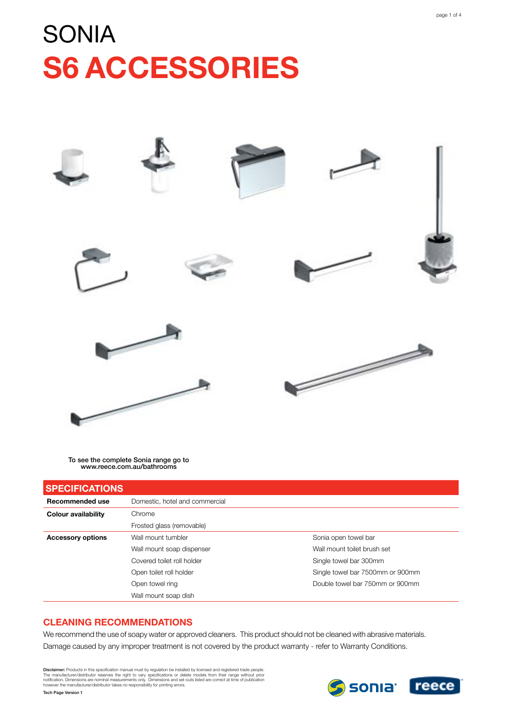# **SONIA S6 ACCESSORIES**



To see the complete Sonia range go to www.reece.com.au/bathrooms

| <b>SPECIFICATIONS</b>      |                                |                                  |
|----------------------------|--------------------------------|----------------------------------|
| Recommended use            | Domestic, hotel and commercial |                                  |
| <b>Colour availability</b> | Chrome                         |                                  |
|                            | Frosted glass (removable)      |                                  |
| <b>Accessory options</b>   | Wall mount tumbler             | Sonia open towel bar             |
|                            | Wall mount soap dispenser      | Wall mount toilet brush set      |
|                            | Covered toilet roll holder     | Single towel bar 300mm           |
|                            | Open toilet roll holder        | Single towel bar 7500mm or 900mm |
|                            | Open towel ring                | Double towel bar 750mm or 900mm  |
|                            | Wall mount soap dish           |                                  |

#### **Cleaning Recommendations**

We recommend the use of soapy water or approved cleaners. This product should not be cleaned with abrasive materials. Damage caused by any improper treatment is not covered by the product warranty - refer to Warranty Conditions.

Disclaimer: Products in this specification manual must by regulation be installed by licensed and registered trade people.<br>The manufacturer/distributor reserves the right to vary specifications or delete models from their

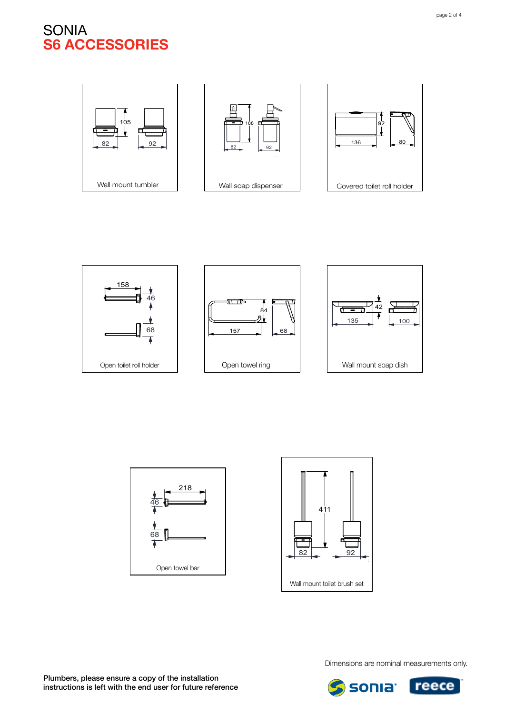### SONIA **s6 ACCESSORIES**

















Dimensions are nominal measurements only.

**sonia** reece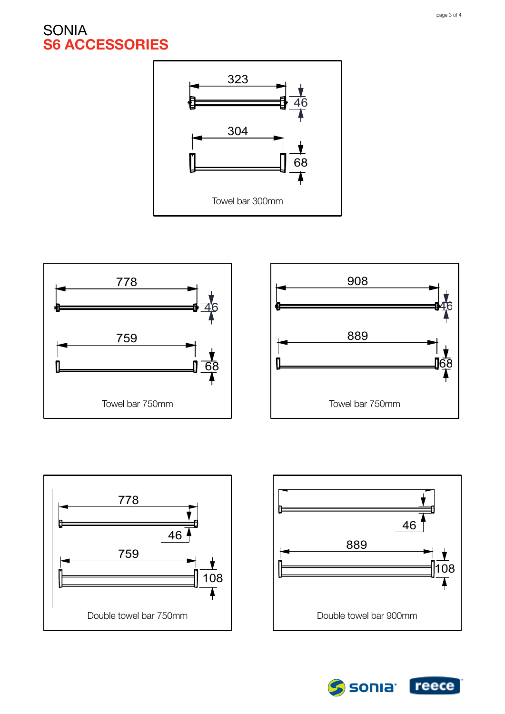# SONIA **s6 ACCESSORIES**